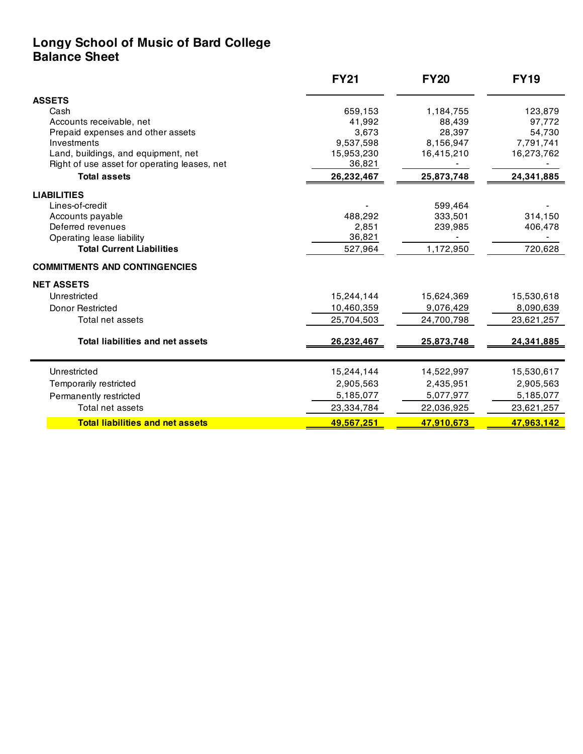## **Longy School of Music of Bard College Balance Sheet**

|                                                                                                                                                                                                    | <b>FY21</b><br>659,153<br>41,992<br>3,673<br>9,537,598<br>15,953,230<br>36,821<br>26,232,467 | <b>FY20</b><br>1,184,755<br>88,439<br>28,397<br>8,156,947<br>16,415,210<br>25,873,748 | <b>FY19</b><br>123,879<br>97,772<br>54,730<br>7,791,741<br>16,273,762<br>24,341,885 |                                                                                    |                            |                      |                    |                                      |  |  |  |
|----------------------------------------------------------------------------------------------------------------------------------------------------------------------------------------------------|----------------------------------------------------------------------------------------------|---------------------------------------------------------------------------------------|-------------------------------------------------------------------------------------|------------------------------------------------------------------------------------|----------------------------|----------------------|--------------------|--------------------------------------|--|--|--|
| <b>ASSETS</b>                                                                                                                                                                                      |                                                                                              |                                                                                       |                                                                                     |                                                                                    |                            |                      |                    |                                      |  |  |  |
| Cash<br>Accounts receivable, net<br>Prepaid expenses and other assets<br>Investments<br>Land, buildings, and equipment, net<br>Right of use asset for operating leases, net<br><b>Total assets</b> |                                                                                              |                                                                                       |                                                                                     |                                                                                    |                            |                      |                    |                                      |  |  |  |
|                                                                                                                                                                                                    |                                                                                              |                                                                                       |                                                                                     | <b>LIABILITIES</b>                                                                 |                            |                      |                    |                                      |  |  |  |
|                                                                                                                                                                                                    |                                                                                              |                                                                                       |                                                                                     | Lines-of-credit                                                                    |                            | 599,464              |                    |                                      |  |  |  |
|                                                                                                                                                                                                    |                                                                                              |                                                                                       |                                                                                     | Accounts payable                                                                   | 488,292                    | 333,501              | 314,150            |                                      |  |  |  |
|                                                                                                                                                                                                    |                                                                                              |                                                                                       |                                                                                     | Deferred revenues<br>Operating lease liability<br><b>Total Current Liabilities</b> | 2,851<br>36,821<br>527,964 | 239,985<br>1,172,950 | 406,478<br>720,628 |                                      |  |  |  |
|                                                                                                                                                                                                    |                                                                                              |                                                                                       |                                                                                     |                                                                                    |                            |                      |                    | <b>COMMITMENTS AND CONTINGENCIES</b> |  |  |  |
|                                                                                                                                                                                                    |                                                                                              |                                                                                       |                                                                                     |                                                                                    |                            |                      |                    | <b>NET ASSETS</b>                    |  |  |  |
| Unrestricted                                                                                                                                                                                       | 15,244,144                                                                                   | 15,624,369                                                                            | 15,530,618                                                                          |                                                                                    |                            |                      |                    |                                      |  |  |  |
| Donor Restricted                                                                                                                                                                                   | 10,460,359                                                                                   | 9,076,429                                                                             | 8,090,639                                                                           |                                                                                    |                            |                      |                    |                                      |  |  |  |
| Total net assets                                                                                                                                                                                   | 25,704,503                                                                                   | 24,700,798                                                                            | 23,621,257                                                                          |                                                                                    |                            |                      |                    |                                      |  |  |  |
| <b>Total liabilities and net assets</b>                                                                                                                                                            | 26,232,467                                                                                   | 25,873,748                                                                            | 24,341,885                                                                          |                                                                                    |                            |                      |                    |                                      |  |  |  |
|                                                                                                                                                                                                    |                                                                                              |                                                                                       |                                                                                     |                                                                                    |                            |                      |                    |                                      |  |  |  |
| Unrestricted                                                                                                                                                                                       | 15,244,144                                                                                   | 14,522,997                                                                            | 15,530,617                                                                          |                                                                                    |                            |                      |                    |                                      |  |  |  |
| Temporarily restricted                                                                                                                                                                             | 2,905,563                                                                                    | 2,435,951                                                                             | 2,905,563                                                                           |                                                                                    |                            |                      |                    |                                      |  |  |  |
| Permanently restricted                                                                                                                                                                             | 5,185,077                                                                                    | 5,077,977                                                                             | 5,185,077                                                                           |                                                                                    |                            |                      |                    |                                      |  |  |  |
| Total net assets                                                                                                                                                                                   | 23,334,784                                                                                   | 22,036,925                                                                            | 23,621,257                                                                          |                                                                                    |                            |                      |                    |                                      |  |  |  |
| <b>Total liabilities and net assets</b>                                                                                                                                                            | 49,567,251                                                                                   | 47,910,673                                                                            | 47,963,142                                                                          |                                                                                    |                            |                      |                    |                                      |  |  |  |